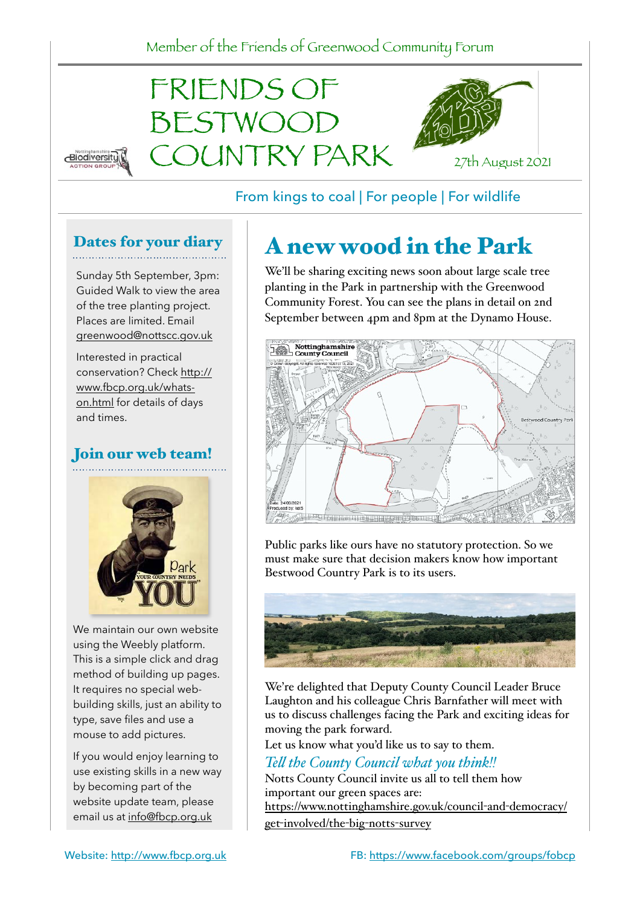

#### From kings to coal | For people | For wildlife

#### Dates for your diary

Sunday 5th September, 3pm: Guided Walk to view the area of the tree planting project. Places are limited. Email [greenwood@nottscc.gov.uk](mailto:greenwood@nottscc.gov.uk)

Interested in practical [conservation? Check http://](http://www.fbcp.org.uk/whats-on.html) [www.fbcp.org.uk/whats](http://www.fbcp.org.uk/whats-on.html)[on.html](http://www.fbcp.org.uk/whats-on.html) for details of days and times.

### Join our web team!



We maintain our own website using the Weebly platform. This is a simple click and drag method of building up pages. It requires no special webbuilding skills, just an ability to type, save files and use a mouse to add pictures.

If you would enjoy learning to use existing skills in a new way by becoming part of the website update team, please email us at [info@fbcp.org.uk](mailto:info@fbcp.org.uk)

# A new wood in the Park

We'll be sharing exciting news soon about large scale tree planting in the Park in partnership with the Greenwood Community Forest. You can see the plans in detail on 2nd September between 4pm and 8pm at the Dynamo House.



Public parks like ours have no statutory protection. So we must make sure that decision makers know how important Bestwood Country Park is to its users.



We're delighted that Deputy County Council Leader Bruce Laughton and his colleague Chris Barnfather will meet with us to discuss challenges facing the Park and exciting ideas for moving the park forward.

Let us know what you'd like us to say to them.

#### *Tell the County Council what you think!!*

Notts County Council invite us all to tell them how important our green spaces are: [https://www.nottinghamshire.gov.uk/council](https://www.nottinghamshire.gov.uk/council-and-democracy/get-involved/the-big-notts-survey)-and-democracy/ get-[involved/the](https://www.nottinghamshire.gov.uk/council-and-democracy/get-involved/the-big-notts-survey)-big-notts-survey